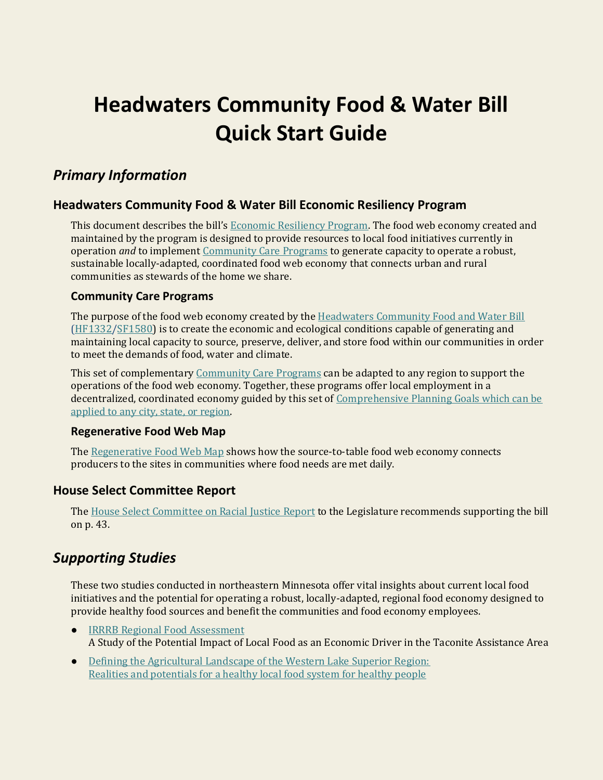# **Headwaters Community Food & Water Bill Quick Start Guide**

# *Primary Information*

### **Headwaters Community Food & Water Bill Economic Resiliency Program**

This document describes the bill's [Economic Resiliency Program.](https://justfoodandwater.org/s/Headwaters-Resiliency-Program.pdf) The food web economy created and maintained by the program is designed to provide resources to local food initiatives currently in operation *and* to implemen[t Community Care Programs](https://www.justfoodandwater.org/s/Care-Program-Booklet.pdf) to generate capacity to operate a robust, sustainable locally-adapted, coordinated food web economy that connects urban and rural communities as stewards of the home we share.

### **Community Care Programs**

The purpose of the food web economy created by the [Headwaters Community Food and Water Bill](https://www.justfoodandwater.org/headwaters-bill) [\(HF1332/](https://www.justfoodandwater.org/headwaters-bill-status-house)[SF1580\)](https://www.justfoodandwater.org/headwaters-bill-status-senate) is to create the economic and ecological conditions capable of generating and maintaining local capacity to source, preserve, deliver, and store food within our communities in order to meet the demands of food, water and climate.

This set of complementary [Community Care Programs](https://www.justfoodandwater.org/s/Care-Program-Booklet.pdf) can be adapted to any region to support the operations of the food web economy. Together, these programs offer local employment in a decentralized, coordinated economy guided by this set of [Comprehensive Planning Goals which can be](https://www.justfoodandwater.org/s/Climate-Readiness-Goals-B-3yy4.pdf)  [applied to any city, state, or region.](https://www.justfoodandwater.org/s/Climate-Readiness-Goals-B-3yy4.pdf)

#### **Regenerative Food Web Map**

The [Regenerative Food Web Map](https://www.justfoodandwater.org/s/Capture-System-Map.pdf) shows how the source-to-table food web economy connects producers to the sites in communities where food needs are met daily.

### **House Select Committee Report**

The [House Select Committee on Racial](https://www.house.leg.state.mn.us/comm/docs/tElVeP6cVEaYSyh0-o0utQ.pdf) Justice Report to the Legislature recommends supporting the bill on p. 43.

### *Supporting Studies*

These two studies conducted in northeastern Minnesota offer vital insights about current local food initiatives and the potential for operating a robust, locally-adapted, regional food economy designed to provide healthy food sources and benefit the communities and food economy employees.

- [IRRRB Regional Food Assessment](https://static1.squarespace.com/static/5829dc7ad482e98c45949d85/t/5b97eb1f4d7a9c8491676afb/1536682789959/LocalFood-as-an-EconomicDriver+IRPS+2018a-min.pdf) A Study of the Potential Impact of Local Food as an Economic Driver in the Taconite Assistance Area
- [Defining the Agricultural Landscape of the Western Lake Superior Region:](https://www.round-river.com/_files/ugd/2926a6_38666d37d76142d1ad41278705bfee0f.pdf)  [Realities and potentials for a healthy local food system for healthy people](https://www.round-river.com/_files/ugd/2926a6_38666d37d76142d1ad41278705bfee0f.pdf)